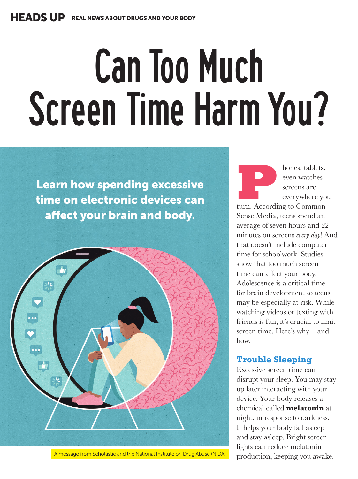# Can Too Much Screen Time Harm You?

Learn how spending excessive time on electronic devices can affect your brain and body.



A message from Scholastic and the National Institute on Drug Abuse (NIDA)

**Phones, tablets,**<br>
even watches—<br>
screens are<br>
everywhere yo<br>
turn. According to Common even watches screens are everywhere you

Sense Media, teens spend an average of seven hours and 22 minutes on screens *every day*! And that doesn't include computer time for schoolwork! Studies show that too much screen time can affect your body. Adolescence is a critical time for brain development so teens may be especially at risk. While watching videos or texting with friends is fun, it's crucial to limit screen time. Here's why—and how.

#### **Trouble Sleeping**

Excessive screen time can disrupt your sleep. You may stay up later interacting with your device. Your body releases a chemical called **melatonin** at night, in response to darkness. It helps your body fall asleep and stay asleep. Bright screen lights can reduce melatonin production, keeping you awake.